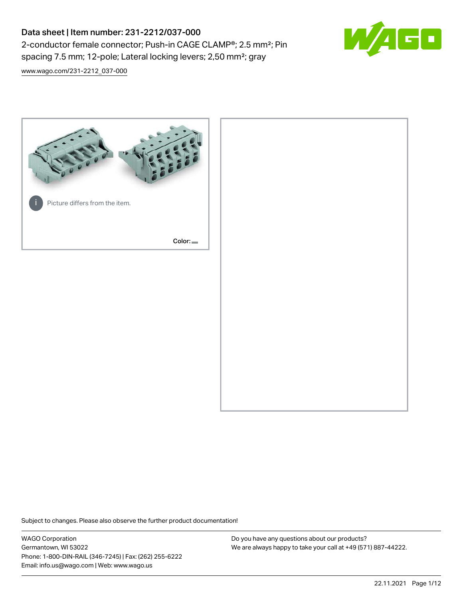# Data sheet | Item number: 231-2212/037-000 2-conductor female connector; Push-in CAGE CLAMP®; 2.5 mm²; Pin spacing 7.5 mm; 12-pole; Lateral locking levers; 2,50 mm²; gray



[www.wago.com/231-2212\\_037-000](http://www.wago.com/231-2212_037-000)



Subject to changes. Please also observe the further product documentation!

WAGO Corporation Germantown, WI 53022 Phone: 1-800-DIN-RAIL (346-7245) | Fax: (262) 255-6222 Email: info.us@wago.com | Web: www.wago.us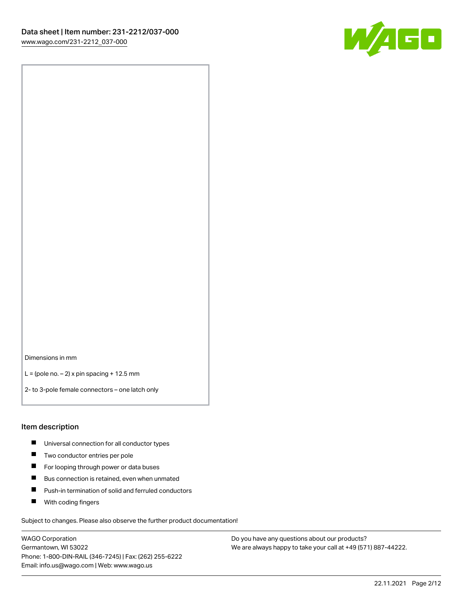

Dimensions in mm

 $L =$  (pole no.  $-2$ ) x pin spacing + 12.5 mm

2- to 3-pole female connectors – one latch only

#### Item description

- **Universal connection for all conductor types**
- **Two conductor entries per pole**
- $\blacksquare$ For looping through power or data buses
- $\blacksquare$ Bus connection is retained, even when unmated
- $\blacksquare$ Push-in termination of solid and ferruled conductors
- $\blacksquare$ With coding fingers

Subject to changes. Please also observe the further product documentation!

WAGO Corporation Germantown, WI 53022 Phone: 1-800-DIN-RAIL (346-7245) | Fax: (262) 255-6222 Email: info.us@wago.com | Web: www.wago.us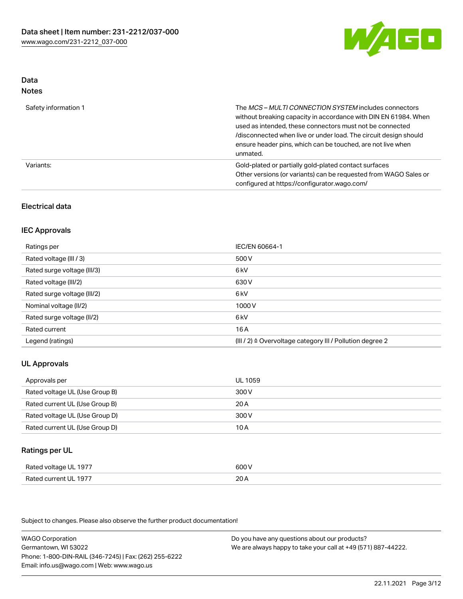

#### Data Notes

| .                    |                                                                                                                                                                                                                                                                                                                                   |
|----------------------|-----------------------------------------------------------------------------------------------------------------------------------------------------------------------------------------------------------------------------------------------------------------------------------------------------------------------------------|
| Safety information 1 | The MCS-MULTI CONNECTION SYSTEM includes connectors<br>without breaking capacity in accordance with DIN EN 61984. When<br>used as intended, these connectors must not be connected<br>/disconnected when live or under load. The circuit design should<br>ensure header pins, which can be touched, are not live when<br>unmated. |
| Variants:            | Gold-plated or partially gold-plated contact surfaces<br>Other versions (or variants) can be requested from WAGO Sales or<br>configured at https://configurator.wago.com/                                                                                                                                                         |

## Electrical data

## IEC Approvals

| Ratings per                 | IEC/EN 60664-1                                                        |
|-----------------------------|-----------------------------------------------------------------------|
| Rated voltage (III / 3)     | 500 V                                                                 |
| Rated surge voltage (III/3) | 6 <sub>k</sub> V                                                      |
| Rated voltage (III/2)       | 630 V                                                                 |
| Rated surge voltage (III/2) | 6 <sub>k</sub> V                                                      |
| Nominal voltage (II/2)      | 1000 V                                                                |
| Rated surge voltage (II/2)  | 6 kV                                                                  |
| Rated current               | 16 A                                                                  |
| Legend (ratings)            | $(III / 2)$ $\triangle$ Overvoltage category III / Pollution degree 2 |

## UL Approvals

| Approvals per                  | UL 1059 |
|--------------------------------|---------|
| Rated voltage UL (Use Group B) | 300 V   |
| Rated current UL (Use Group B) | 20 A    |
| Rated voltage UL (Use Group D) | 300 V   |
| Rated current UL (Use Group D) | 10 A    |

### Ratings per UL

| Rated voltage UL 1977 | 600 V |
|-----------------------|-------|
| Rated current UL 1977 | 20A   |

Subject to changes. Please also observe the further product documentation!

WAGO Corporation Germantown, WI 53022 Phone: 1-800-DIN-RAIL (346-7245) | Fax: (262) 255-6222 Email: info.us@wago.com | Web: www.wago.us Do you have any questions about our products? We are always happy to take your call at +49 (571) 887-44222.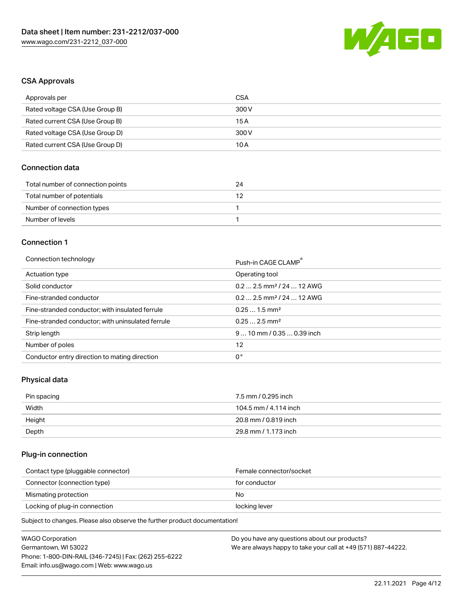

## CSA Approvals

| Approvals per                   | CSA   |
|---------------------------------|-------|
| Rated voltage CSA (Use Group B) | 300 V |
| Rated current CSA (Use Group B) | 15 A  |
| Rated voltage CSA (Use Group D) | 300 V |
| Rated current CSA (Use Group D) | 10 A  |

## Connection data

| Total number of connection points | 24 |
|-----------------------------------|----|
| Total number of potentials        |    |
| Number of connection types        |    |
| Number of levels                  |    |

#### Connection 1

#### Connection technology **Push-in CAGE CLAMP<sup>®</sup>**

|                                                   | Push-in CAGE CLAMP                     |
|---------------------------------------------------|----------------------------------------|
| Actuation type                                    | Operating tool                         |
| Solid conductor                                   | $0.2$ 2.5 mm <sup>2</sup> / 24  12 AWG |
| Fine-stranded conductor                           | $0.2$ 2.5 mm <sup>2</sup> / 24  12 AWG |
| Fine-stranded conductor; with insulated ferrule   | $0.251.5$ mm <sup>2</sup>              |
| Fine-stranded conductor; with uninsulated ferrule | $0.252.5$ mm <sup>2</sup>              |
| Strip length                                      | $910$ mm / 0.35  0.39 inch             |
| Number of poles                                   | 12                                     |
| Conductor entry direction to mating direction     | 0°                                     |

## Physical data

| Pin spacing | 7.5 mm / 0.295 inch   |
|-------------|-----------------------|
| Width       | 104.5 mm / 4.114 inch |
| Height      | 20.8 mm / 0.819 inch  |
| Depth       | 29.8 mm / 1.173 inch  |

## Plug-in connection

| Female connector/socket |
|-------------------------|
| for conductor           |
| No.                     |
| locking lever           |
|                         |

Subject to changes. Please also observe the further product documentation!

| <b>WAGO Corporation</b>                                | Do you have any questions about our products?                 |
|--------------------------------------------------------|---------------------------------------------------------------|
| Germantown, WI 53022                                   | We are always happy to take your call at +49 (571) 887-44222. |
| Phone: 1-800-DIN-RAIL (346-7245)   Fax: (262) 255-6222 |                                                               |
| Email: info.us@wago.com   Web: www.wago.us             |                                                               |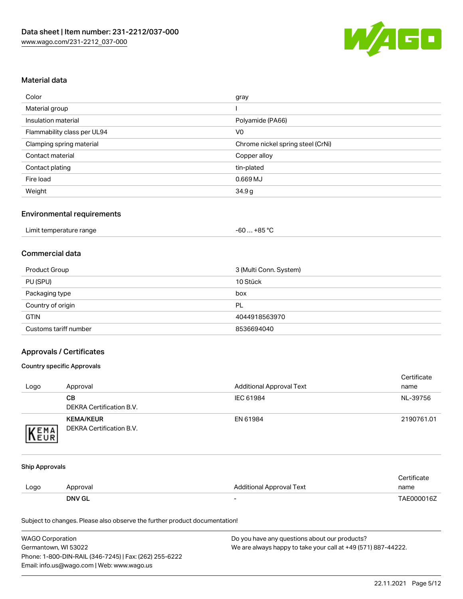

## Material data

| Color                       | gray                              |
|-----------------------------|-----------------------------------|
| Material group              |                                   |
| Insulation material         | Polyamide (PA66)                  |
| Flammability class per UL94 | V <sub>0</sub>                    |
| Clamping spring material    | Chrome nickel spring steel (CrNi) |
| Contact material            | Copper alloy                      |
| Contact plating             | tin-plated                        |
| Fire load                   | 0.669MJ                           |
| Weight                      | 34.9g                             |

#### Environmental requirements

## Commercial data

| Product Group         | 3 (Multi Conn. System) |
|-----------------------|------------------------|
| PU (SPU)              | 10 Stück               |
| Packaging type        | box                    |
| Country of origin     | PL                     |
| <b>GTIN</b>           | 4044918563970          |
| Customs tariff number | 8536694040             |

## Approvals / Certificates

#### Country specific Approvals

| Logo | Approval                                     | <b>Additional Approval Text</b> | Certificate<br>name |
|------|----------------------------------------------|---------------------------------|---------------------|
|      | CВ<br>DEKRA Certification B.V.               | IEC 61984                       | NL-39756            |
| EMA  | <b>KEMA/KEUR</b><br>DEKRA Certification B.V. | EN 61984                        | 2190761.01          |

#### Ship Approvals

|      | <b>DNV GL</b> | $\overline{\phantom{0}}$ | TAE000016Z  |
|------|---------------|--------------------------|-------------|
| Logo | Approval      | Additional Approval Text | name        |
|      |               |                          | Certificate |

Subject to changes. Please also observe the further product documentation!

| <b>WAGO Corporation</b>                                | Do you have any questions about our products?                 |
|--------------------------------------------------------|---------------------------------------------------------------|
| Germantown, WI 53022                                   | We are always happy to take your call at +49 (571) 887-44222. |
| Phone: 1-800-DIN-RAIL (346-7245)   Fax: (262) 255-6222 |                                                               |
| Email: info.us@wago.com   Web: www.wago.us             |                                                               |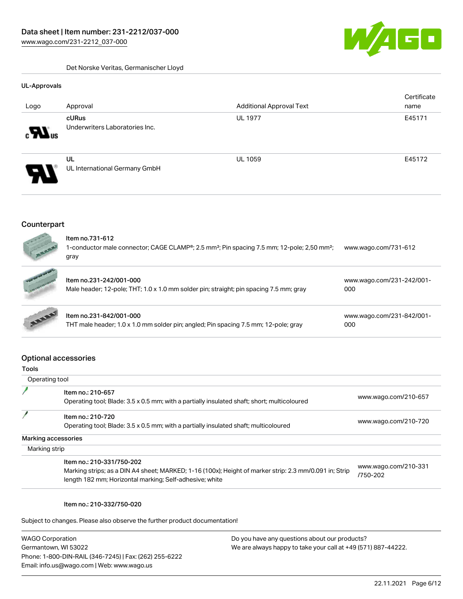

Det Norske Veritas, Germanischer Lloyd

## UL-Approvals **Certificate** Logo Approval Additional Approval Text name cURus UL 1977 **E45171** Underwriters Laboratories Inc.  $\mathbf{M}_\mathrm{ms}$ UL UL 1059 E45172 UL International Germany GmbH

## Counterpart



|             | Item no.231-242/001-000<br>Male header; 12-pole; THT; 1.0 x 1.0 mm solder pin; straight; pin spacing 7.5 mm; gray | www.wago.com/231-242/001-<br>000 |  |
|-------------|-------------------------------------------------------------------------------------------------------------------|----------------------------------|--|
| <b>ASSE</b> | Item no.231-842/001-000<br>THT male header; 1.0 x 1.0 mm solder pin; angled; Pin spacing 7.5 mm; 12-pole; gray    | www.wago.com/231-842/001-<br>000 |  |

## Optional accessories

| ×<br>v.<br>×<br>۹<br>v | ۰. |
|------------------------|----|

| Operating tool                                                                                                                                                                                 |                                  |
|------------------------------------------------------------------------------------------------------------------------------------------------------------------------------------------------|----------------------------------|
| Item no.: 210-657<br>Operating tool; Blade: 3.5 x 0.5 mm; with a partially insulated shaft; short; multicoloured                                                                               | www.wago.com/210-657             |
| Item no.: 210-720<br>Operating tool; Blade: 3.5 x 0.5 mm; with a partially insulated shaft; multicoloured                                                                                      | www.wago.com/210-720             |
| Marking accessories                                                                                                                                                                            |                                  |
| Marking strip                                                                                                                                                                                  |                                  |
| Item no.: 210-331/750-202<br>Marking strips; as a DIN A4 sheet; MARKED; 1-16 (100x); Height of marker strip: 2.3 mm/0.091 in; Strip<br>length 182 mm; Horizontal marking; Self-adhesive; white | www.wago.com/210-331<br>/750-202 |

#### Item no.: 210-332/750-020

Subject to changes. Please also observe the further product documentation!

| <b>WAGO Corporation</b>                                |
|--------------------------------------------------------|
| Germantown, WI 53022                                   |
| Phone: 1-800-DIN-RAIL (346-7245)   Fax: (262) 255-6222 |
| Email: info.us@wago.com   Web: www.wago.us             |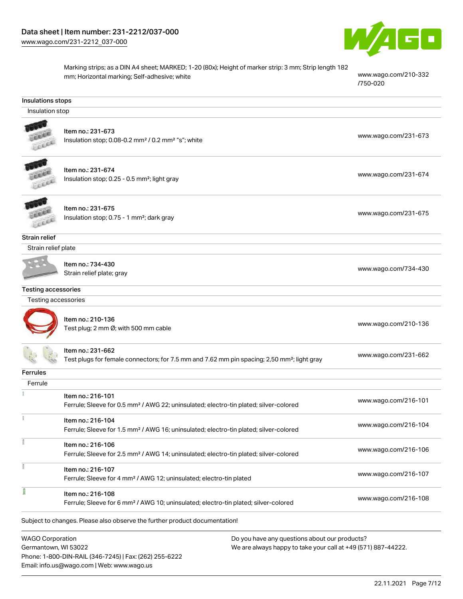

Marking strips; as a DIN A4 sheet; MARKED; 1-20 (80x); Height of marker strip: 3 mm; Strip length 182 mm; Horizontal marking; Self-adhesive; white [www.wago.com/210-332](http://www.wago.com/210-332/750-020)

[/750-020](http://www.wago.com/210-332/750-020)

#### Insulations stops

Insulation stop



## Item no.: 231-673

Insulation stop; 0.08-0.2 mm<sup>2</sup> / 0.2 mm<sup>2</sup> "s"; white [www.wago.com/231-673](http://www.wago.com/231-673) www.wago.com/231-673



Item no.: 231-674 Insulation stop; 0.25 - 0.5 mm²; light gray [www.wago.com/231-674](http://www.wago.com/231-674)



Item no.: 231-675 Insulation stop; 0.75 - 1 mm<sup>2</sup>; dark gray [www.wago.com/231-675](http://www.wago.com/231-675)<br>Insulation stop; 0.75 - 1 mm<sup>2</sup>; dark gray

Strain relief

Strain relief plate

Item no.: 734-430 Strain relief plate; gray [www.wago.com/734-430](http://www.wago.com/734-430)

#### Testing accessories

| Testing accessories |  |
|---------------------|--|
|                     |  |



F

Item no.: 210-136 nem no.: 2 10-130<br>Test plug; 2 mm Ø; with 500 mm cable [www.wago.com/210-136](http://www.wago.com/210-136)

|                 | Item no.: 231-662<br>Test plugs for female connectors; for 7.5 mm and 7.62 mm pin spacing; 2,50 mm <sup>2</sup> ; light gray | www.wago.com/231-662 |
|-----------------|------------------------------------------------------------------------------------------------------------------------------|----------------------|
| <b>Ferrules</b> |                                                                                                                              |                      |
| Ferrule         |                                                                                                                              |                      |
|                 | Item no.: 216-101                                                                                                            | www.wago.com/216-101 |
|                 | Ferrule; Sleeve for 0.5 mm <sup>2</sup> / AWG 22; uninsulated; electro-tin plated; silver-colored                            |                      |
|                 |                                                                                                                              |                      |

| ltem no.: 216-104<br>Ferrule; Sleeve for 1.5 mm <sup>2</sup> / AWG 16; uninsulated; electro-tin plated; silver-colored | www.wago.com/216-104 |
|------------------------------------------------------------------------------------------------------------------------|----------------------|
| ltem no.: 216-106<br>Ferrule; Sleeve for 2.5 mm <sup>2</sup> / AWG 14; uninsulated; electro-tin plated; silver-colored | www.wago.com/216-106 |

ī Item no.: 216-107 Ferrule; Sleeve for 4 mm² / AWG 12; uninsulated; electro-tin plated [www.wago.com/216-107](http://www.wago.com/216-107) f Item no.: 216-108

Ferrule; Sleeve for 6 mm² / AWG 10; uninsulated; electro-tin plated; silver-colored [www.wago.com/216-108](http://www.wago.com/216-108)

Subject to changes. Please also observe the further product documentation!

WAGO Corporation Germantown, WI 53022 Phone: 1-800-DIN-RAIL (346-7245) | Fax: (262) 255-6222 Email: info.us@wago.com | Web: www.wago.us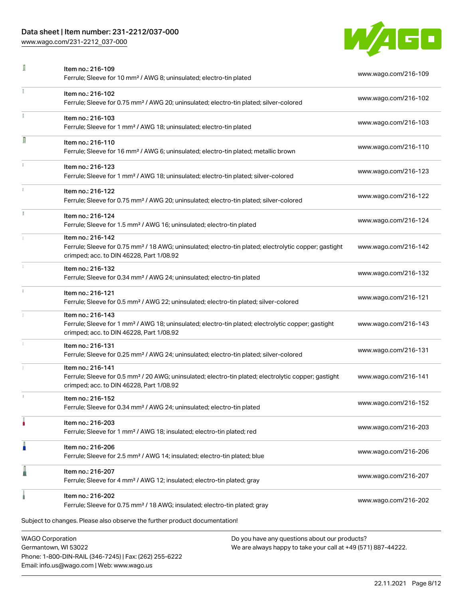## Data sheet | Item number: 231-2212/037-000

Phone: 1-800-DIN-RAIL (346-7245) | Fax: (262) 255-6222

Email: info.us@wago.com | Web: www.wago.us

[www.wago.com/231-2212\\_037-000](http://www.wago.com/231-2212_037-000)



|                                                 | Item no.: 216-109<br>Ferrule; Sleeve for 10 mm <sup>2</sup> / AWG 8; uninsulated; electro-tin plated                                                                               |                                                                                                                | www.wago.com/216-109 |
|-------------------------------------------------|------------------------------------------------------------------------------------------------------------------------------------------------------------------------------------|----------------------------------------------------------------------------------------------------------------|----------------------|
|                                                 | Item no.: 216-102<br>Ferrule; Sleeve for 0.75 mm <sup>2</sup> / AWG 20; uninsulated; electro-tin plated; silver-colored                                                            |                                                                                                                | www.wago.com/216-102 |
|                                                 | Item no.: 216-103<br>Ferrule; Sleeve for 1 mm <sup>2</sup> / AWG 18; uninsulated; electro-tin plated                                                                               |                                                                                                                | www.wago.com/216-103 |
| Л                                               | Item no.: 216-110<br>Ferrule; Sleeve for 16 mm <sup>2</sup> / AWG 6; uninsulated; electro-tin plated; metallic brown                                                               |                                                                                                                | www.wago.com/216-110 |
|                                                 | Item no.: 216-123<br>Ferrule; Sleeve for 1 mm <sup>2</sup> / AWG 18; uninsulated; electro-tin plated; silver-colored                                                               |                                                                                                                | www.wago.com/216-123 |
|                                                 | Item no.: 216-122<br>Ferrule; Sleeve for 0.75 mm <sup>2</sup> / AWG 20; uninsulated; electro-tin plated; silver-colored                                                            |                                                                                                                | www.wago.com/216-122 |
| ĭ.                                              | Item no.: 216-124<br>Ferrule; Sleeve for 1.5 mm <sup>2</sup> / AWG 16; uninsulated; electro-tin plated                                                                             |                                                                                                                | www.wago.com/216-124 |
|                                                 | Item no.: 216-142<br>Ferrule; Sleeve for 0.75 mm <sup>2</sup> / 18 AWG; uninsulated; electro-tin plated; electrolytic copper; gastight<br>crimped; acc. to DIN 46228, Part 1/08.92 |                                                                                                                | www.wago.com/216-142 |
|                                                 | Item no.: 216-132<br>Ferrule; Sleeve for 0.34 mm <sup>2</sup> / AWG 24; uninsulated; electro-tin plated                                                                            |                                                                                                                | www.wago.com/216-132 |
|                                                 | Item no.: 216-121<br>Ferrule; Sleeve for 0.5 mm <sup>2</sup> / AWG 22; uninsulated; electro-tin plated; silver-colored                                                             |                                                                                                                | www.wago.com/216-121 |
|                                                 | Item no.: 216-143<br>Ferrule; Sleeve for 1 mm <sup>2</sup> / AWG 18; uninsulated; electro-tin plated; electrolytic copper; gastight<br>crimped; acc. to DIN 46228, Part 1/08.92    |                                                                                                                | www.wago.com/216-143 |
|                                                 | Item no.: 216-131<br>Ferrule; Sleeve for 0.25 mm <sup>2</sup> / AWG 24; uninsulated; electro-tin plated; silver-colored                                                            |                                                                                                                | www.wago.com/216-131 |
|                                                 | Item no.: 216-141<br>Ferrule; Sleeve for 0.5 mm <sup>2</sup> / 20 AWG; uninsulated; electro-tin plated; electrolytic copper; gastight<br>crimped; acc. to DIN 46228, Part 1/08.92  |                                                                                                                | www.wago.com/216-141 |
|                                                 | Item no.: 216-152<br>Ferrule; Sleeve for 0.34 mm <sup>2</sup> / AWG 24; uninsulated; electro-tin plated                                                                            |                                                                                                                | www.wago.com/216-152 |
|                                                 | Item no.: 216-203<br>Ferrule; Sleeve for 1 mm <sup>2</sup> / AWG 18; insulated; electro-tin plated; red                                                                            |                                                                                                                | www.wago.com/216-203 |
| ŀ                                               | Item no.: 216-206<br>Ferrule; Sleeve for 2.5 mm <sup>2</sup> / AWG 14; insulated; electro-tin plated; blue                                                                         |                                                                                                                | www.wago.com/216-206 |
|                                                 | Item no.: 216-207<br>Ferrule; Sleeve for 4 mm <sup>2</sup> / AWG 12; insulated; electro-tin plated; gray                                                                           |                                                                                                                | www.wago.com/216-207 |
|                                                 | Item no.: 216-202<br>Ferrule; Sleeve for 0.75 mm <sup>2</sup> / 18 AWG; insulated; electro-tin plated; gray                                                                        |                                                                                                                | www.wago.com/216-202 |
|                                                 | Subject to changes. Please also observe the further product documentation!                                                                                                         |                                                                                                                |                      |
| <b>WAGO Corporation</b><br>Germantown, WI 53022 |                                                                                                                                                                                    | Do you have any questions about our products?<br>We are always happy to take your call at +49 (571) 887-44222. |                      |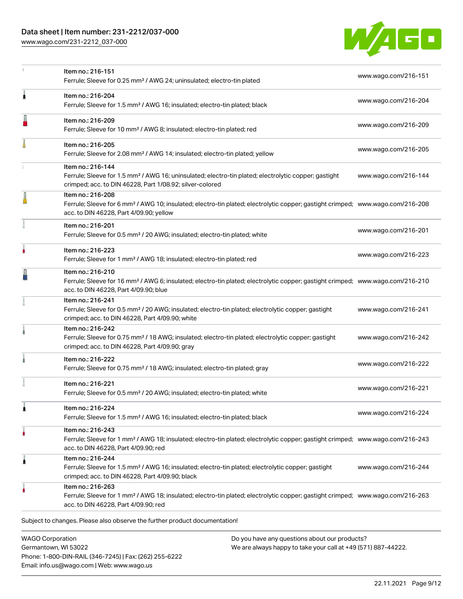## Data sheet | Item number: 231-2212/037-000

[www.wago.com/231-2212\\_037-000](http://www.wago.com/231-2212_037-000)



|   | Item no.: 216-151<br>Ferrule; Sleeve for 0.25 mm <sup>2</sup> / AWG 24; uninsulated; electro-tin plated                                                                                                    | www.wago.com/216-151 |
|---|------------------------------------------------------------------------------------------------------------------------------------------------------------------------------------------------------------|----------------------|
| À | Item no.: 216-204<br>Ferrule; Sleeve for 1.5 mm <sup>2</sup> / AWG 16; insulated; electro-tin plated; black                                                                                                | www.wago.com/216-204 |
|   | Item no.: 216-209<br>Ferrule; Sleeve for 10 mm <sup>2</sup> / AWG 8; insulated; electro-tin plated; red                                                                                                    | www.wago.com/216-209 |
|   | Item no.: 216-205<br>Ferrule; Sleeve for 2.08 mm <sup>2</sup> / AWG 14; insulated; electro-tin plated; yellow                                                                                              | www.wago.com/216-205 |
|   | Item no.: 216-144<br>Ferrule; Sleeve for 1.5 mm <sup>2</sup> / AWG 16; uninsulated; electro-tin plated; electrolytic copper; gastight<br>crimped; acc. to DIN 46228, Part 1/08.92; silver-colored          | www.wago.com/216-144 |
|   | Item no.: 216-208<br>Ferrule; Sleeve for 6 mm <sup>2</sup> / AWG 10; insulated; electro-tin plated; electrolytic copper; gastight crimped; www.wago.com/216-208<br>acc. to DIN 46228, Part 4/09.90; yellow |                      |
|   | Item no.: 216-201<br>Ferrule; Sleeve for 0.5 mm <sup>2</sup> / 20 AWG; insulated; electro-tin plated; white                                                                                                | www.wago.com/216-201 |
| ö | Item no.: 216-223<br>Ferrule; Sleeve for 1 mm <sup>2</sup> / AWG 18; insulated; electro-tin plated; red                                                                                                    | www.wago.com/216-223 |
|   | Item no.: 216-210<br>Ferrule; Sleeve for 16 mm <sup>2</sup> / AWG 6; insulated; electro-tin plated; electrolytic copper; gastight crimped; www.wago.com/216-210<br>acc. to DIN 46228, Part 4/09.90; blue   |                      |
|   | Item no.: 216-241<br>Ferrule; Sleeve for 0.5 mm <sup>2</sup> / 20 AWG; insulated; electro-tin plated; electrolytic copper; gastight<br>crimped; acc. to DIN 46228, Part 4/09.90; white                     | www.wago.com/216-241 |
|   | Item no.: 216-242<br>Ferrule; Sleeve for 0.75 mm <sup>2</sup> / 18 AWG; insulated; electro-tin plated; electrolytic copper; gastight<br>crimped; acc. to DIN 46228, Part 4/09.90; gray                     | www.wago.com/216-242 |
|   | Item no.: 216-222<br>Ferrule; Sleeve for 0.75 mm <sup>2</sup> / 18 AWG; insulated; electro-tin plated; gray                                                                                                | www.wago.com/216-222 |
|   | Item no.: 216-221<br>Ferrule; Sleeve for 0.5 mm <sup>2</sup> / 20 AWG; insulated; electro-tin plated; white                                                                                                | www.wago.com/216-221 |
| 1 | Item no.: 216-224<br>Ferrule; Sleeve for 1.5 mm <sup>2</sup> / AWG 16; insulated; electro-tin plated; black                                                                                                | www.wago.com/216-224 |
|   | Item no.: 216-243<br>Ferrule; Sleeve for 1 mm <sup>2</sup> / AWG 18; insulated; electro-tin plated; electrolytic copper; gastight crimped; www.wago.com/216-243<br>acc. to DIN 46228, Part 4/09.90; red    |                      |
| 1 | Item no.: 216-244<br>Ferrule; Sleeve for 1.5 mm <sup>2</sup> / AWG 16; insulated; electro-tin plated; electrolytic copper; gastight<br>crimped; acc. to DIN 46228, Part 4/09.90; black                     | www.wago.com/216-244 |
|   | Item no.: 216-263<br>Ferrule; Sleeve for 1 mm <sup>2</sup> / AWG 18; insulated; electro-tin plated; electrolytic copper; gastight crimped; www.wago.com/216-263<br>acc. to DIN 46228, Part 4/09.90; red    |                      |
|   | Subject to changes. Please also observe the further product documentation!                                                                                                                                 |                      |
|   |                                                                                                                                                                                                            |                      |

WAGO Corporation Germantown, WI 53022 Phone: 1-800-DIN-RAIL (346-7245) | Fax: (262) 255-6222 Email: info.us@wago.com | Web: www.wago.us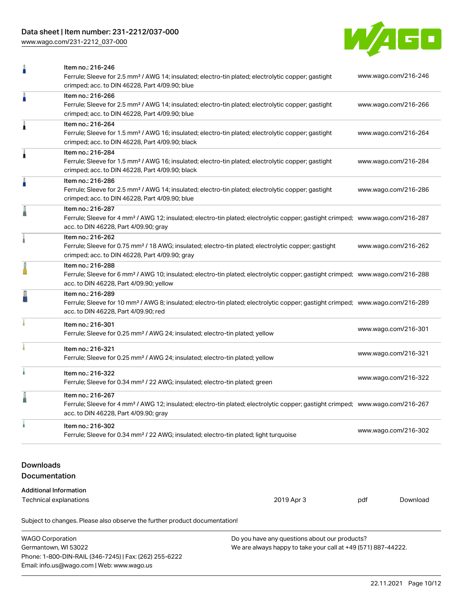## Data sheet | Item number: 231-2212/037-000

[www.wago.com/231-2212\\_037-000](http://www.wago.com/231-2212_037-000)



|                                                                            | Item no.: 216-246<br>Ferrule; Sleeve for 2.5 mm <sup>2</sup> / AWG 14; insulated; electro-tin plated; electrolytic copper; gastight<br>crimped; acc. to DIN 46228, Part 4/09.90; blue                      |  | www.wago.com/216-246 |  |  |  |
|----------------------------------------------------------------------------|------------------------------------------------------------------------------------------------------------------------------------------------------------------------------------------------------------|--|----------------------|--|--|--|
| n                                                                          | Item no.: 216-266<br>Ferrule; Sleeve for 2.5 mm <sup>2</sup> / AWG 14; insulated; electro-tin plated; electrolytic copper; gastight<br>crimped; acc. to DIN 46228, Part 4/09.90; blue                      |  | www.wago.com/216-266 |  |  |  |
| 1                                                                          | Item no.: 216-264<br>Ferrule; Sleeve for 1.5 mm <sup>2</sup> / AWG 16; insulated; electro-tin plated; electrolytic copper; gastight<br>crimped; acc. to DIN 46228, Part 4/09.90; black                     |  | www.wago.com/216-264 |  |  |  |
| 1                                                                          | Item no.: 216-284<br>Ferrule; Sleeve for 1.5 mm <sup>2</sup> / AWG 16; insulated; electro-tin plated; electrolytic copper; gastight<br>crimped; acc. to DIN 46228, Part 4/09.90; black                     |  | www.wago.com/216-284 |  |  |  |
| ä                                                                          | Item no.: 216-286<br>Ferrule; Sleeve for 2.5 mm <sup>2</sup> / AWG 14; insulated; electro-tin plated; electrolytic copper; gastight<br>crimped; acc. to DIN 46228, Part 4/09.90; blue                      |  | www.wago.com/216-286 |  |  |  |
|                                                                            | Item no.: 216-287<br>Ferrule; Sleeve for 4 mm <sup>2</sup> / AWG 12; insulated; electro-tin plated; electrolytic copper; gastight crimped; www.wago.com/216-287<br>acc. to DIN 46228, Part 4/09.90; gray   |  |                      |  |  |  |
|                                                                            | Item no.: 216-262<br>Ferrule; Sleeve for 0.75 mm <sup>2</sup> / 18 AWG; insulated; electro-tin plated; electrolytic copper; gastight<br>crimped; acc. to DIN 46228, Part 4/09.90; gray                     |  | www.wago.com/216-262 |  |  |  |
|                                                                            | Item no.: 216-288<br>Ferrule; Sleeve for 6 mm <sup>2</sup> / AWG 10; insulated; electro-tin plated; electrolytic copper; gastight crimped; www.wago.com/216-288<br>acc. to DIN 46228, Part 4/09.90; yellow |  |                      |  |  |  |
|                                                                            | Item no.: 216-289<br>Ferrule; Sleeve for 10 mm <sup>2</sup> / AWG 8; insulated; electro-tin plated; electrolytic copper; gastight crimped; www.wago.com/216-289<br>acc. to DIN 46228, Part 4/09.90; red    |  |                      |  |  |  |
|                                                                            | Item no.: 216-301<br>Ferrule; Sleeve for 0.25 mm <sup>2</sup> / AWG 24; insulated; electro-tin plated; yellow                                                                                              |  | www.wago.com/216-301 |  |  |  |
|                                                                            | Item no.: 216-321<br>Ferrule; Sleeve for 0.25 mm <sup>2</sup> / AWG 24; insulated; electro-tin plated; yellow                                                                                              |  | www.wago.com/216-321 |  |  |  |
|                                                                            | Item no.: 216-322<br>Ferrule; Sleeve for 0.34 mm <sup>2</sup> / 22 AWG; insulated; electro-tin plated; green                                                                                               |  | www.wago.com/216-322 |  |  |  |
|                                                                            | Item no.: 216-267<br>Ferrule; Sleeve for 4 mm <sup>2</sup> / AWG 12; insulated; electro-tin plated; electrolytic copper; gastight crimped; www.wago.com/216-267<br>acc. to DIN 46228, Part 4/09.90; gray   |  |                      |  |  |  |
|                                                                            | Item no.: 216-302<br>Ferrule; Sleeve for 0.34 mm <sup>2</sup> / 22 AWG; insulated; electro-tin plated; light turquoise                                                                                     |  | www.wago.com/216-302 |  |  |  |
| <b>Downloads</b><br>Documentation                                          |                                                                                                                                                                                                            |  |                      |  |  |  |
| <b>Additional Information</b>                                              |                                                                                                                                                                                                            |  |                      |  |  |  |
| Technical explanations<br>2019 Apr 3<br>Download<br>pdf                    |                                                                                                                                                                                                            |  |                      |  |  |  |
| Subject to changes. Please also observe the further product documentation! |                                                                                                                                                                                                            |  |                      |  |  |  |

| <b>WAGO Corporation</b>                                | Do you have any questions about our products?                 |
|--------------------------------------------------------|---------------------------------------------------------------|
| Germantown, WI 53022                                   | We are always happy to take your call at +49 (571) 887-44222. |
| Phone: 1-800-DIN-RAIL (346-7245)   Fax: (262) 255-6222 |                                                               |
| Email: info.us@wago.com   Web: www.wago.us             |                                                               |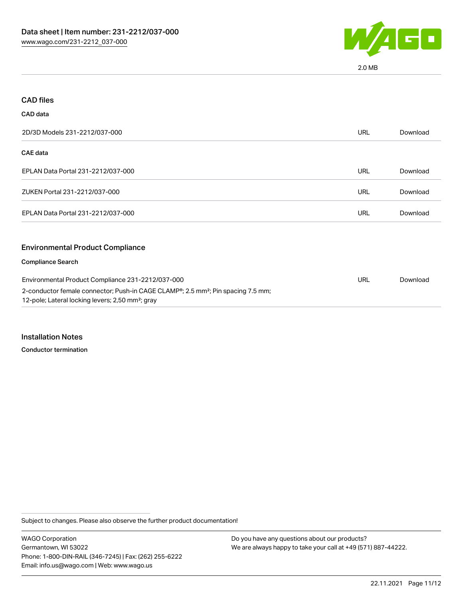

2.0 MB

| <b>CAD files</b>                                                                                                                                             |            |          |
|--------------------------------------------------------------------------------------------------------------------------------------------------------------|------------|----------|
| <b>CAD</b> data                                                                                                                                              |            |          |
| 2D/3D Models 231-2212/037-000                                                                                                                                | <b>URL</b> | Download |
| <b>CAE</b> data                                                                                                                                              |            |          |
| EPLAN Data Portal 231-2212/037-000                                                                                                                           | <b>URL</b> | Download |
| ZUKEN Portal 231-2212/037-000                                                                                                                                | <b>URL</b> | Download |
| EPLAN Data Portal 231-2212/037-000                                                                                                                           | <b>URL</b> | Download |
| <b>Environmental Product Compliance</b>                                                                                                                      |            |          |
| <b>Compliance Search</b>                                                                                                                                     |            |          |
| Environmental Product Compliance 231-2212/037-000                                                                                                            | <b>URL</b> | Download |
| 2-conductor female connector; Push-in CAGE CLAMP®; 2.5 mm <sup>2</sup> ; Pin spacing 7.5 mm;<br>12-pole; Lateral locking levers; 2,50 mm <sup>2</sup> ; gray |            |          |

Installation Notes

Conductor termination

Subject to changes. Please also observe the further product documentation!

WAGO Corporation Germantown, WI 53022 Phone: 1-800-DIN-RAIL (346-7245) | Fax: (262) 255-6222 Email: info.us@wago.com | Web: www.wago.us